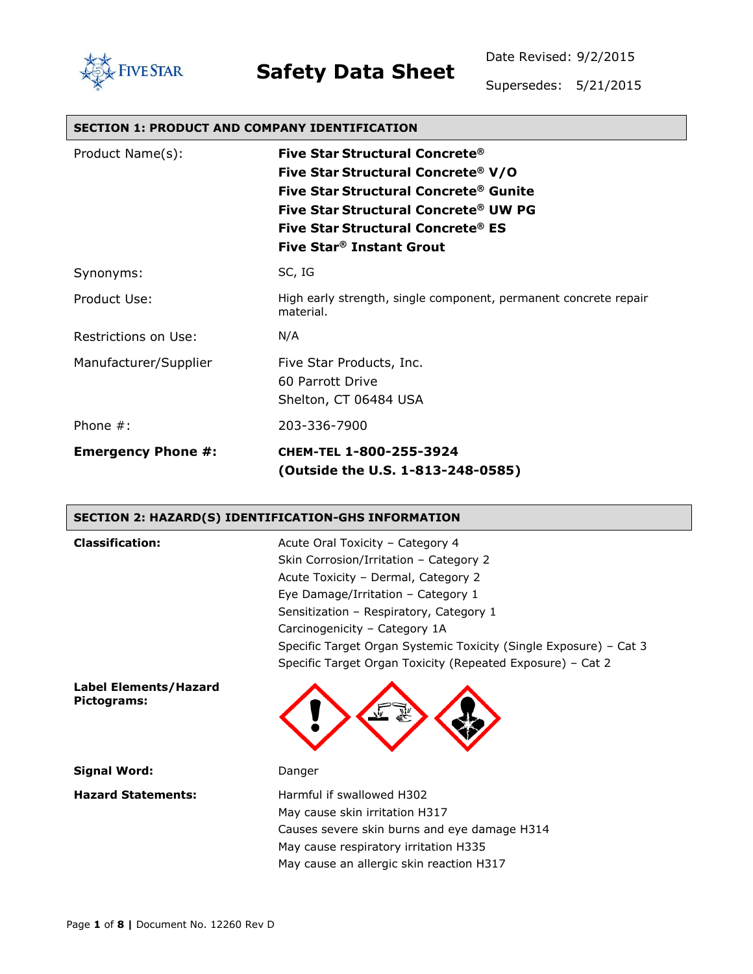

Date Revised: 9/2/2015

Supersedes: 5/21/2015

| <b>SECTION 1: PRODUCT AND COMPANY IDENTIFICATION</b> |                                                                                                                                                                                                                                           |  |
|------------------------------------------------------|-------------------------------------------------------------------------------------------------------------------------------------------------------------------------------------------------------------------------------------------|--|
| Product Name(s):                                     | Five Star Structural Concrete®<br>Five Star Structural Concrete® V/O<br>Five Star Structural Concrete® Gunite<br>Five Star Structural Concrete® UW PG<br><b>Five Star Structural Concrete® ES</b><br>Five Star <sup>®</sup> Instant Grout |  |
| Synonyms:                                            | SC, IG                                                                                                                                                                                                                                    |  |
| Product Use:                                         | High early strength, single component, permanent concrete repair<br>material.                                                                                                                                                             |  |
| Restrictions on Use:                                 | N/A                                                                                                                                                                                                                                       |  |
| Manufacturer/Supplier                                | Five Star Products, Inc.<br>60 Parrott Drive<br>Shelton, CT 06484 USA                                                                                                                                                                     |  |
| Phone $#$ :                                          | 203-336-7900                                                                                                                                                                                                                              |  |
| <b>Emergency Phone #:</b>                            | CHEM-TEL 1-800-255-3924<br>Outside the U.S. 1-813-248-0585)                                                                                                                                                                               |  |

#### **SECTION 2: HAZARD(S) IDENTIFICATION-GHS INFORMATION**

| <b>Classification:</b>               | Acute Oral Toxicity - Category 4<br>Skin Corrosion/Irritation - Category 2<br>Acute Toxicity - Dermal, Category 2<br>Eye Damage/Irritation - Category 1<br>Sensitization - Respiratory, Category 1<br>Carcinogenicity - Category 1A<br>Specific Target Organ Systemic Toxicity (Single Exposure) - Cat 3<br>Specific Target Organ Toxicity (Repeated Exposure) – Cat 2 |
|--------------------------------------|------------------------------------------------------------------------------------------------------------------------------------------------------------------------------------------------------------------------------------------------------------------------------------------------------------------------------------------------------------------------|
| Label Elements/Hazard<br>Pictograms: |                                                                                                                                                                                                                                                                                                                                                                        |
| Signal Word:                         | Danger                                                                                                                                                                                                                                                                                                                                                                 |
| <b>Hazard Statements:</b>            | Harmful if swallowed H302<br>May cause skin irritation H317<br>Causes severe skin burns and eye damage H314<br>May cause respiratory irritation H335<br>May cause an allergic skin reaction H317                                                                                                                                                                       |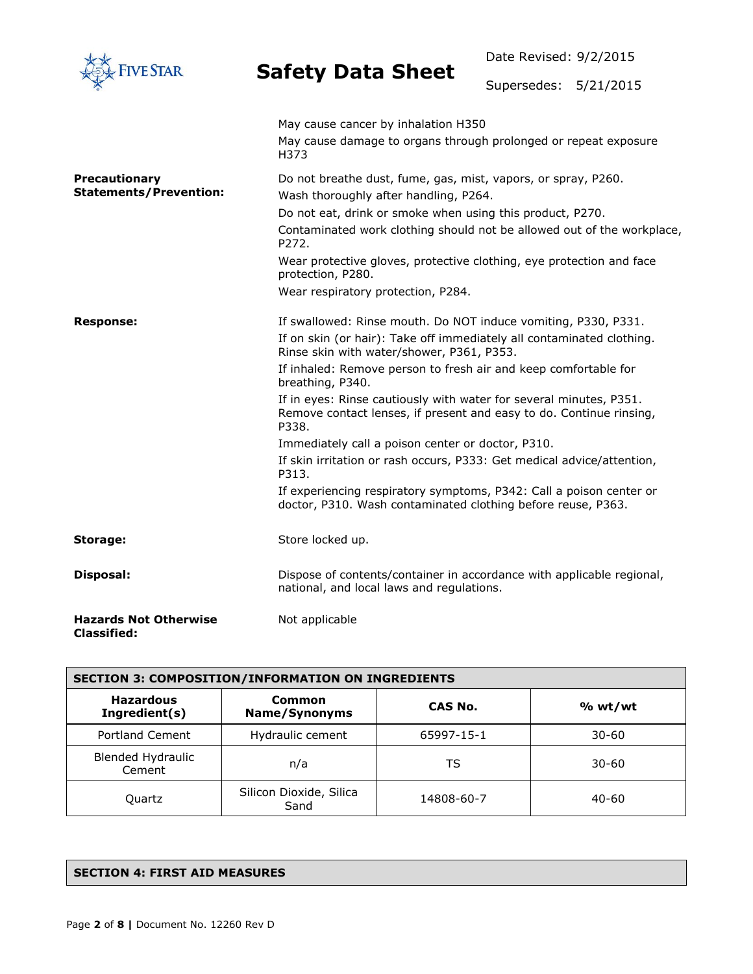| <b>VE STAR</b>                                        | <b>Safety Data Sheet</b>                                                                                                                                                                                                                                                                                                                                                                                                                                                                                                                                                                                                                                                                                         | Date Revised: 9/2/2015<br>Supersedes: 5/21/2015                        |
|-------------------------------------------------------|------------------------------------------------------------------------------------------------------------------------------------------------------------------------------------------------------------------------------------------------------------------------------------------------------------------------------------------------------------------------------------------------------------------------------------------------------------------------------------------------------------------------------------------------------------------------------------------------------------------------------------------------------------------------------------------------------------------|------------------------------------------------------------------------|
|                                                       | May cause cancer by inhalation H350<br>May cause damage to organs through prolonged or repeat exposure<br>H373                                                                                                                                                                                                                                                                                                                                                                                                                                                                                                                                                                                                   |                                                                        |
| <b>Precautionary</b><br><b>Statements/Prevention:</b> | Do not breathe dust, fume, gas, mist, vapors, or spray, P260.<br>Wash thoroughly after handling, P264.<br>Do not eat, drink or smoke when using this product, P270.<br>P <sub>272</sub><br>Wear protective gloves, protective clothing, eye protection and face<br>protection, P280.<br>Wear respiratory protection, P284.                                                                                                                                                                                                                                                                                                                                                                                       | Contaminated work clothing should not be allowed out of the workplace, |
| <b>Response:</b>                                      | If swallowed: Rinse mouth. Do NOT induce vomiting, P330, P331.<br>If on skin (or hair): Take off immediately all contaminated clothing.<br>Rinse skin with water/shower, P361, P353.<br>If inhaled: Remove person to fresh air and keep comfortable for<br>breathing, P340.<br>If in eyes: Rinse cautiously with water for several minutes, P351.<br>Remove contact lenses, if present and easy to do. Continue rinsing,<br>P338.<br>Immediately call a poison center or doctor, P310.<br>If skin irritation or rash occurs, P333: Get medical advice/attention,<br>P313.<br>If experiencing respiratory symptoms, P342: Call a poison center or<br>doctor, P310. Wash contaminated clothing before reuse, P363. |                                                                        |
| Storage:                                              | Store locked up.                                                                                                                                                                                                                                                                                                                                                                                                                                                                                                                                                                                                                                                                                                 |                                                                        |
| Disposal:                                             | Dispose of contents/container in accordance with applicable regional,<br>national, and local laws and regulations.                                                                                                                                                                                                                                                                                                                                                                                                                                                                                                                                                                                               |                                                                        |
| <b>Hazards Not Otherwise</b><br><b>Classified:</b>    | Not applicable                                                                                                                                                                                                                                                                                                                                                                                                                                                                                                                                                                                                                                                                                                   |                                                                        |

| <b>SECTION 3: COMPOSITION/INFORMATION ON INGREDIENTS</b> |                                 |            |           |
|----------------------------------------------------------|---------------------------------|------------|-----------|
| <b>Hazardous</b><br>Ingredient(s)                        | Common<br><b>Name/Synonyms</b>  | CAS No.    | % wt/wt   |
| <b>Portland Cement</b>                                   | Hydraulic cement                | 65997-15-1 | $30 - 60$ |
| <b>Blended Hydraulic</b><br>Cement                       | n/a                             | TS         | $30 - 60$ |
| Quartz                                                   | Silicon Dioxide, Silica<br>Sand | 14808-60-7 | $40 - 60$ |

#### **SECTION 4: FIRST AID MEASURES**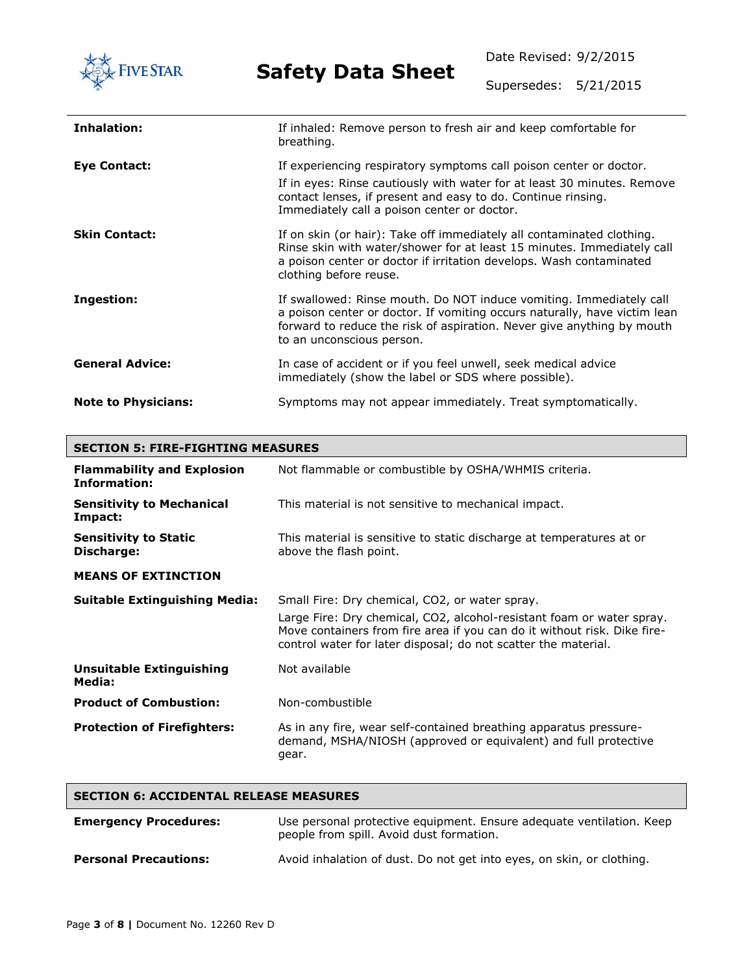

Date Revised: 9/2/2015

Supersedes: 5/21/2015

| Inhalation:                | If inhaled: Remove person to fresh air and keep comfortable for<br>breathing.                                                                                                                                                                                |
|----------------------------|--------------------------------------------------------------------------------------------------------------------------------------------------------------------------------------------------------------------------------------------------------------|
| Eye Contact:               | If experiencing respiratory symptoms call poison center or doctor.<br>If in eyes: Rinse cautiously with water for at least 30 minutes. Remove<br>contact lenses, if present and easy to do. Continue rinsing.<br>Immediately call a poison center or doctor. |
| <b>Skin Contact:</b>       | If on skin (or hair): Take off immediately all contaminated clothing.<br>Rinse skin with water/shower for at least 15 minutes. Immediately call<br>a poison center or doctor if irritation develops. Wash contaminated<br>clothing before reuse.             |
| Ingestion:                 | If swallowed: Rinse mouth. Do NOT induce vomiting. Immediately call<br>a poison center or doctor. If vomiting occurs naturally, have victim lean<br>forward to reduce the risk of aspiration. Never give anything by mouth<br>to an unconscious person.      |
| <b>General Advice:</b>     | In case of accident or if you feel unwell, seek medical advice<br>immediately (show the label or SDS where possible).                                                                                                                                        |
| <b>Note to Physicians:</b> | Symptoms may not appear immediately. Treat symptomatically.                                                                                                                                                                                                  |

| <b>SECTION 5: FIRE-FIGHTING MEASURES</b>                 |                                                                                                                                                                                                                                                                       |  |
|----------------------------------------------------------|-----------------------------------------------------------------------------------------------------------------------------------------------------------------------------------------------------------------------------------------------------------------------|--|
| <b>Flammability and Explosion</b><br><b>Information:</b> | Not flammable or combustible by OSHA/WHMIS criteria.                                                                                                                                                                                                                  |  |
| <b>Sensitivity to Mechanical</b><br>Impact:              | This material is not sensitive to mechanical impact.                                                                                                                                                                                                                  |  |
| <b>Sensitivity to Static</b><br>Discharge:               | This material is sensitive to static discharge at temperatures at or<br>above the flash point.                                                                                                                                                                        |  |
| <b>MEANS OF EXTINCTION</b>                               |                                                                                                                                                                                                                                                                       |  |
| <b>Suitable Extinguishing Media:</b>                     | Small Fire: Dry chemical, CO2, or water spray.<br>Large Fire: Dry chemical, CO2, alcohol-resistant foam or water spray.<br>Move containers from fire area if you can do it without risk. Dike fire-<br>control water for later disposal; do not scatter the material. |  |
| <b>Unsuitable Extinguishing</b><br>Media:                | Not available                                                                                                                                                                                                                                                         |  |
| <b>Product of Combustion:</b>                            | Non-combustible                                                                                                                                                                                                                                                       |  |
| <b>Protection of Firefighters:</b>                       | As in any fire, wear self-contained breathing apparatus pressure-<br>demand, MSHA/NIOSH (approved or equivalent) and full protective<br>gear.                                                                                                                         |  |

| <b>SECTION 6: ACCIDENTAL RELEASE MEASURES</b> |                                                                                                                  |  |
|-----------------------------------------------|------------------------------------------------------------------------------------------------------------------|--|
| <b>Emergency Procedures:</b>                  | Use personal protective equipment. Ensure adequate ventilation. Keep<br>people from spill. Avoid dust formation. |  |
| <b>Personal Precautions:</b>                  | Avoid inhalation of dust. Do not get into eyes, on skin, or clothing.                                            |  |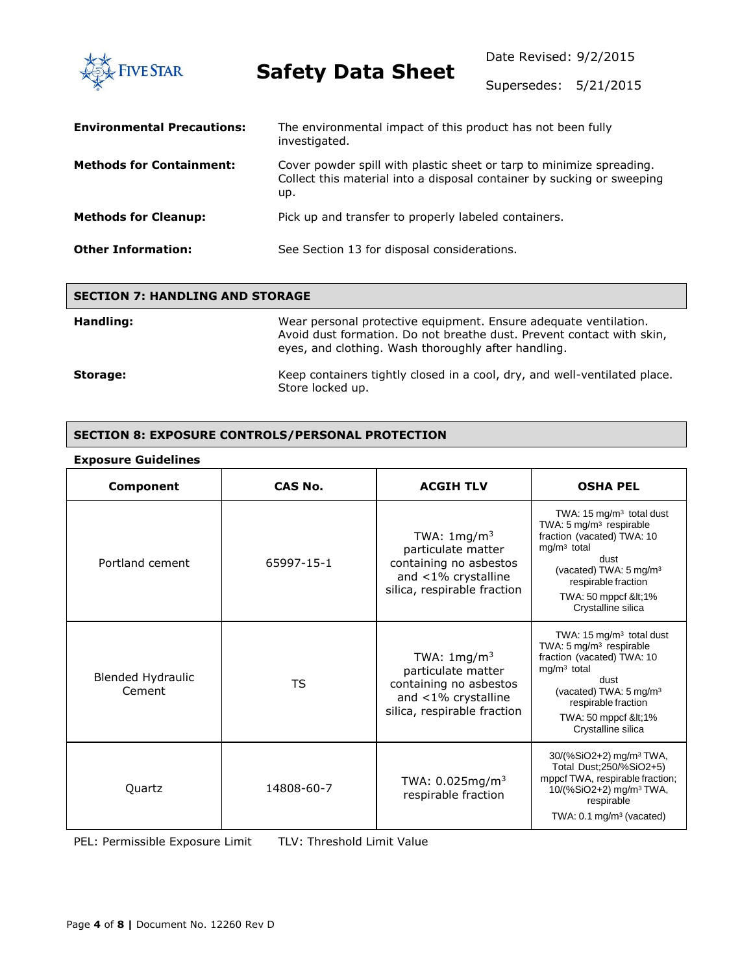Date Revised: 9/2/2015 **FIVE STAR Safety Data Sheet** Supersedes: 5/21/2015 **Environmental Precautions:** The environmental impact of this product has not been fully investigated. **Methods for Containment:** Cover powder spill with plastic sheet or tarp to minimize spreading. Collect this material into a disposal container by sucking or sweeping up. **Methods for Cleanup:** Pick up and transfer to properly labeled containers. **Other Information:** See Section 13 for disposal considerations.

| <b>SECTION 7: HANDLING AND STORAGE</b> |                                                                                                                                                                                                  |  |
|----------------------------------------|--------------------------------------------------------------------------------------------------------------------------------------------------------------------------------------------------|--|
| Handling:                              | Wear personal protective equipment. Ensure adequate ventilation.<br>Avoid dust formation. Do not breathe dust. Prevent contact with skin,<br>eyes, and clothing. Wash thoroughly after handling. |  |
| Storage:                               | Keep containers tightly closed in a cool, dry, and well-ventilated place.<br>Store locked up.                                                                                                    |  |

#### **SECTION 8: EXPOSURE CONTROLS/PERSONAL PROTECTION**

| <b>Exposure Guidelines</b> |
|----------------------------|
|                            |

| Component                   | CAS No.    | <b>ACGIH TLV</b>                                                                                                             | <b>OSHA PEL</b>                                                                                                                                                                                                                            |
|-----------------------------|------------|------------------------------------------------------------------------------------------------------------------------------|--------------------------------------------------------------------------------------------------------------------------------------------------------------------------------------------------------------------------------------------|
| Portland cement             | 65997-15-1 | TWA: $1 \text{mg/m}^3$<br>particulate matter<br>containing no asbestos<br>and <1% crystalline<br>silica, respirable fraction | TWA: $15 \text{ mg/m}^3$ total dust<br>TWA: 5 mg/m <sup>3</sup> respirable<br>fraction (vacated) TWA: 10<br>$mg/m3$ total<br>dust<br>(vacated) TWA: $5 \text{ mg/m}^3$<br>respirable fraction<br>TWA: 50 mppcf &It1%<br>Crystalline silica |
| Blended Hydraulic<br>Cement | TS         | TWA: $1 \text{mg/m}^3$<br>particulate matter<br>containing no asbestos<br>and <1% crystalline<br>silica, respirable fraction | TWA: $15 \text{ mg/m}^3$ total dust<br>TWA: $5 \text{ mg/m}^3$ respirable<br>fraction (vacated) TWA: 10<br>$mg/m3$ total<br>dust<br>(vacated) TWA: 5 mg/m <sup>3</sup><br>respirable fraction<br>TWA: 50 mppcf <1%<br>Crystalline silica   |
| Quartz                      | 14808-60-7 | TWA: $0.025mg/m3$<br>respirable fraction                                                                                     | 30/(%SiO2+2) mg/m <sup>3</sup> TWA,<br>Total Dust; 250/% SiO2+5)<br>mppcf TWA, respirable fraction;<br>10/(%SiO2+2) mg/m <sup>3</sup> TWA,<br>respirable<br>TWA: $0.1 \text{ mg/m}^3$ (vacated)                                            |

PEL: Permissible Exposure Limit TLV: Threshold Limit Value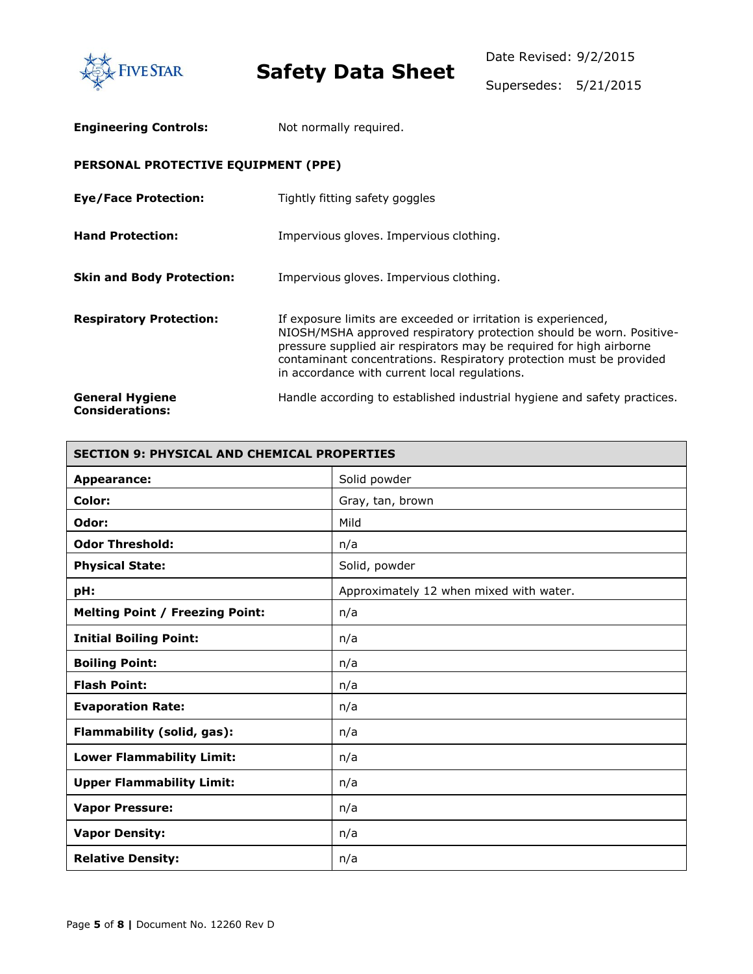

| <b>Engineering Controls:</b>                     | Not normally required.                                                                                                                                                                                                                                                                                                               |
|--------------------------------------------------|--------------------------------------------------------------------------------------------------------------------------------------------------------------------------------------------------------------------------------------------------------------------------------------------------------------------------------------|
| PERSONAL PROTECTIVE EQUIPMENT (PPE)              |                                                                                                                                                                                                                                                                                                                                      |
| <b>Eye/Face Protection:</b>                      | Tightly fitting safety goggles                                                                                                                                                                                                                                                                                                       |
| <b>Hand Protection:</b>                          | Impervious gloves. Impervious clothing.                                                                                                                                                                                                                                                                                              |
| <b>Skin and Body Protection:</b>                 | Impervious gloves. Impervious clothing.                                                                                                                                                                                                                                                                                              |
| <b>Respiratory Protection:</b>                   | If exposure limits are exceeded or irritation is experienced,<br>NIOSH/MSHA approved respiratory protection should be worn. Positive-<br>pressure supplied air respirators may be required for high airborne<br>contaminant concentrations. Respiratory protection must be provided<br>in accordance with current local regulations. |
| <b>General Hygiene</b><br><b>Considerations:</b> | Handle according to established industrial hygiene and safety practices.                                                                                                                                                                                                                                                             |

| <b>SECTION 9: PHYSICAL AND CHEMICAL PROPERTIES</b> |                                         |  |
|----------------------------------------------------|-----------------------------------------|--|
| <b>Appearance:</b>                                 | Solid powder                            |  |
| Color:                                             | Gray, tan, brown                        |  |
| Odor:                                              | Mild                                    |  |
| <b>Odor Threshold:</b>                             | n/a                                     |  |
| <b>Physical State:</b>                             | Solid, powder                           |  |
| pH:                                                | Approximately 12 when mixed with water. |  |
| <b>Melting Point / Freezing Point:</b>             | n/a                                     |  |
| <b>Initial Boiling Point:</b>                      | n/a                                     |  |
| <b>Boiling Point:</b>                              | n/a                                     |  |
| <b>Flash Point:</b>                                | n/a                                     |  |
| <b>Evaporation Rate:</b>                           | n/a                                     |  |
| Flammability (solid, gas):                         | n/a                                     |  |
| <b>Lower Flammability Limit:</b>                   | n/a                                     |  |
| <b>Upper Flammability Limit:</b>                   | n/a                                     |  |
| <b>Vapor Pressure:</b>                             | n/a                                     |  |
| <b>Vapor Density:</b>                              | n/a                                     |  |
| <b>Relative Density:</b>                           | n/a                                     |  |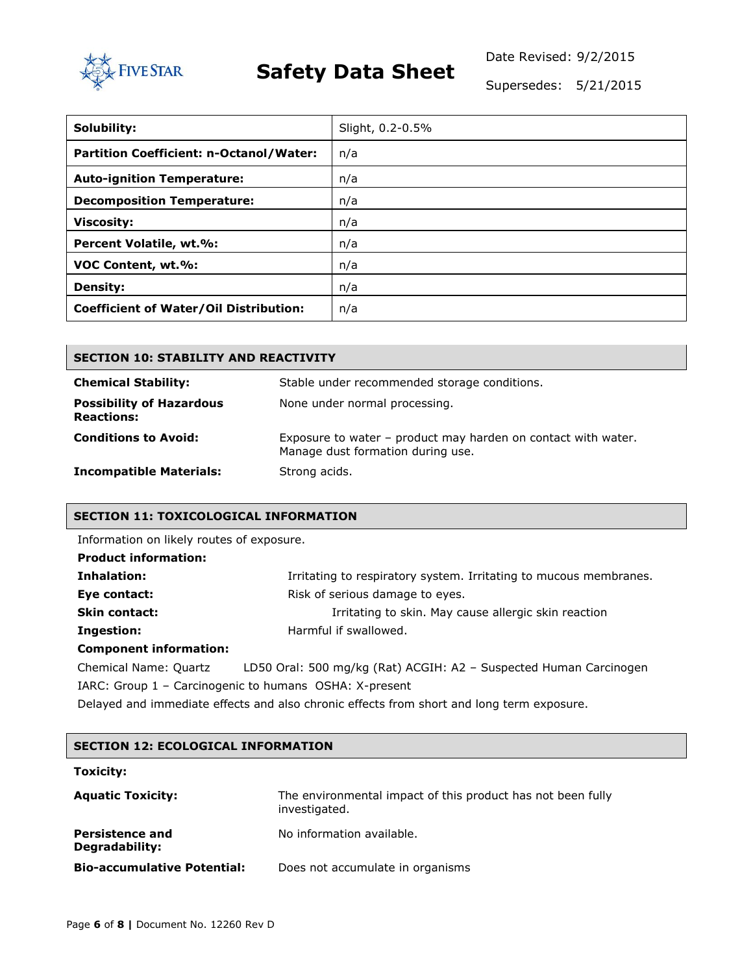

Date Revised: 9/2/2015

Supersedes: 5/21/2015

| Solubility:                                    | Slight, 0.2-0.5% |
|------------------------------------------------|------------------|
| <b>Partition Coefficient: n-Octanol/Water:</b> | n/a              |
| <b>Auto-ignition Temperature:</b>              | n/a              |
| <b>Decomposition Temperature:</b>              | n/a              |
| <b>Viscosity:</b>                              | n/a              |
| Percent Volatile, wt.%:                        | n/a              |
| VOC Content, wt.%:                             | n/a              |
| <b>Density:</b>                                | n/a              |
| <b>Coefficient of Water/Oil Distribution:</b>  | n/a              |

| <b>SECTION 10: STABILITY AND REACTIVITY</b>          |                                                                                                    |  |  |  |
|------------------------------------------------------|----------------------------------------------------------------------------------------------------|--|--|--|
| <b>Chemical Stability:</b>                           | Stable under recommended storage conditions.                                                       |  |  |  |
| <b>Possibility of Hazardous</b><br><b>Reactions:</b> | None under normal processing.                                                                      |  |  |  |
| <b>Conditions to Avoid:</b>                          | Exposure to water - product may harden on contact with water.<br>Manage dust formation during use. |  |  |  |
| <b>Incompatible Materials:</b>                       | Strong acids.                                                                                      |  |  |  |

#### **SECTION 11: TOXICOLOGICAL INFORMATION**

Information on likely routes of exposure.

| <b>Product information:</b> |                                                                   |
|-----------------------------|-------------------------------------------------------------------|
| Inhalation:                 | Irritating to respiratory system. Irritating to mucous membranes. |
| Eye contact:                | Risk of serious damage to eyes.                                   |
| <b>Skin contact:</b>        | Irritating to skin. May cause allergic skin reaction              |
| Ingestion:                  | Harmful if swallowed.                                             |
| Component information:      |                                                                   |

#### **Component information:**

| Chemical Name: Quartz | LD50 Oral: 500 mg/kg (Rat) ACGIH: A2 - Suspected Human Carcinogen                         |
|-----------------------|-------------------------------------------------------------------------------------------|
|                       | IARC: Group $1$ – Carcinogenic to humans OSHA: X-present                                  |
|                       | Delayed and immediate effects and also chronic effects from short and long term exposure. |

| <b>SECTION 12: ECOLOGICAL INFORMATION</b> |                                                                              |
|-------------------------------------------|------------------------------------------------------------------------------|
| <b>Toxicity:</b>                          |                                                                              |
| <b>Aquatic Toxicity:</b>                  | The environmental impact of this product has not been fully<br>investigated. |
| <b>Persistence and</b><br>Degradability:  | No information available.                                                    |
| <b>Bio-accumulative Potential:</b>        | Does not accumulate in organisms                                             |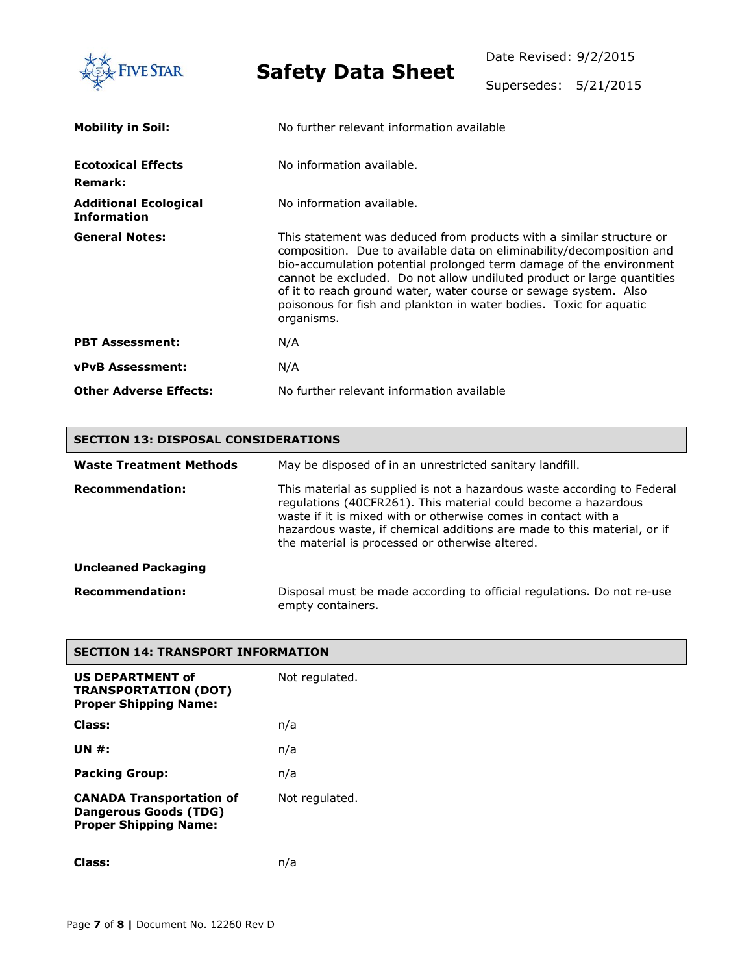

Supersedes: 5/21/2015

| <b>Mobility in Soil:</b>                           | No further relevant information available                                                                                                                                                                                                                                                                                                                                                                                                              |
|----------------------------------------------------|--------------------------------------------------------------------------------------------------------------------------------------------------------------------------------------------------------------------------------------------------------------------------------------------------------------------------------------------------------------------------------------------------------------------------------------------------------|
| <b>Ecotoxical Effects</b><br><b>Remark:</b>        | No information available.                                                                                                                                                                                                                                                                                                                                                                                                                              |
| <b>Additional Ecological</b><br><b>Information</b> | No information available.                                                                                                                                                                                                                                                                                                                                                                                                                              |
| <b>General Notes:</b>                              | This statement was deduced from products with a similar structure or<br>composition. Due to available data on eliminability/decomposition and<br>bio-accumulation potential prolonged term damage of the environment<br>cannot be excluded. Do not allow undiluted product or large quantities<br>of it to reach ground water, water course or sewage system. Also<br>poisonous for fish and plankton in water bodies. Toxic for aquatic<br>organisms. |
| <b>PBT Assessment:</b>                             | N/A                                                                                                                                                                                                                                                                                                                                                                                                                                                    |
| <b>vPvB Assessment:</b>                            | N/A                                                                                                                                                                                                                                                                                                                                                                                                                                                    |
| <b>Other Adverse Effects:</b>                      | No further relevant information available                                                                                                                                                                                                                                                                                                                                                                                                              |

### **SECTION 13: DISPOSAL CONSIDERATIONS**

| <b>Waste Treatment Methods</b> | May be disposed of in an unrestricted sanitary landfill.<br>This material as supplied is not a hazardous waste according to Federal<br>regulations (40CFR261). This material could become a hazardous |  |  |  |  |
|--------------------------------|-------------------------------------------------------------------------------------------------------------------------------------------------------------------------------------------------------|--|--|--|--|
| <b>Recommendation:</b>         | waste if it is mixed with or otherwise comes in contact with a<br>hazardous waste, if chemical additions are made to this material, or if<br>the material is processed or otherwise altered.          |  |  |  |  |
| <b>Uncleaned Packaging</b>     |                                                                                                                                                                                                       |  |  |  |  |
| <b>Recommendation:</b>         | Disposal must be made according to official regulations. Do not re-use<br>empty containers.                                                                                                           |  |  |  |  |

| <b>SECTION 14: TRANSPORT INFORMATION</b>                                                        |                |
|-------------------------------------------------------------------------------------------------|----------------|
| US DEPARTMENT of<br><b>TRANSPORTATION (DOT)</b><br><b>Proper Shipping Name:</b>                 | Not regulated. |
| Class:                                                                                          | n/a            |
| UN $#$ :                                                                                        | n/a            |
| <b>Packing Group:</b>                                                                           | n/a            |
| <b>CANADA Transportation of</b><br><b>Dangerous Goods (TDG)</b><br><b>Proper Shipping Name:</b> | Not regulated. |

**Class:** n/a